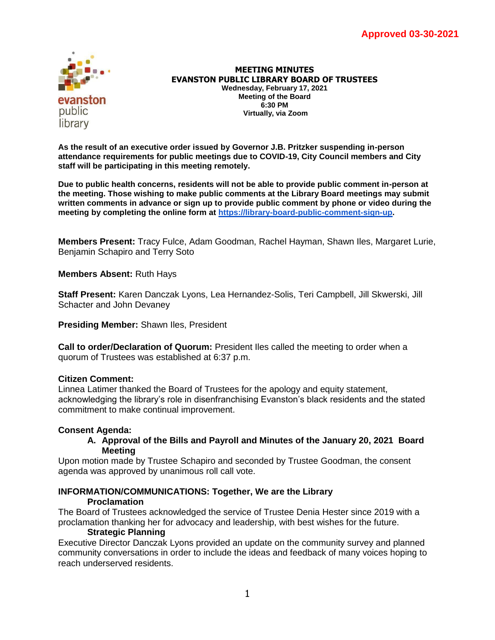

#### **MEETING MINUTES EVANSTON PUBLIC LIBRARY BOARD OF TRUSTEES Wednesday, February 17, 2021 Meeting of the Board 6:30 PM Virtually, via Zoom**

**As the result of an executive order issued by Governor J.B. Pritzker suspending in-person attendance requirements for public meetings due to COVID-19, City Council members and City staff will be participating in this meeting remotely.**

**Due to public health concerns, residents will not be able to provide public comment in-person at the meeting. Those wishing to make public comments at the Library Board meetings may submit written comments in advance or sign up to provide public comment by phone or video during the meeting by completing the online form at [https://library-board-public-comment-sign-up.](https://library-board-public-comment-sign-up/)**

**Members Present:** Tracy Fulce, Adam Goodman, Rachel Hayman, Shawn Iles, Margaret Lurie, Benjamin Schapiro and Terry Soto

**Members Absent:** Ruth Hays

**Staff Present:** Karen Danczak Lyons, Lea Hernandez-Solis, Teri Campbell, Jill Skwerski, Jill Schacter and John Devaney

**Presiding Member:** Shawn Iles, President

**Call to order/Declaration of Quorum:** President Iles called the meeting to order when a quorum of Trustees was established at 6:37 p.m.

#### **Citizen Comment:**

Linnea Latimer thanked the Board of Trustees for the apology and equity statement, acknowledging the library's role in disenfranchising Evanston's black residents and the stated commitment to make continual improvement.

#### **Consent Agenda:**

**A. Approval of the Bills and Payroll and Minutes of the January 20, 2021 Board Meeting**

Upon motion made by Trustee Schapiro and seconded by Trustee Goodman, the consent agenda was approved by unanimous roll call vote.

# **INFORMATION/COMMUNICATIONS: Together, We are the Library**

#### **Proclamation**

The Board of Trustees acknowledged the service of Trustee Denia Hester since 2019 with a proclamation thanking her for advocacy and leadership, with best wishes for the future.

#### **Strategic Planning**

Executive Director Danczak Lyons provided an update on the community survey and planned community conversations in order to include the ideas and feedback of many voices hoping to reach underserved residents.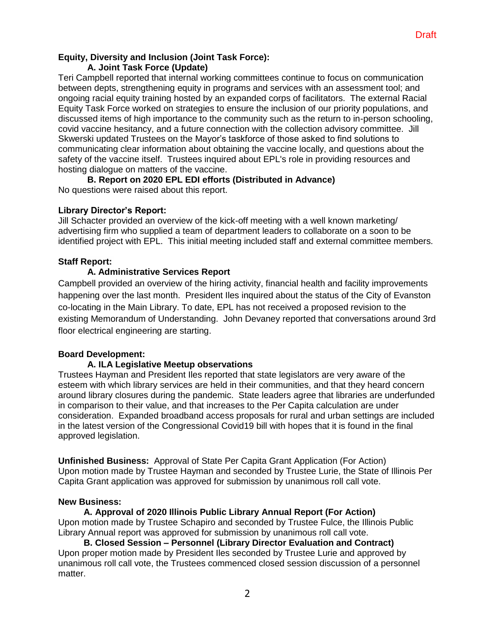### **Equity, Diversity and Inclusion (Joint Task Force): A. Joint Task Force (Update)**

Teri Campbell reported that internal working committees continue to focus on communication between depts, strengthening equity in programs and services with an assessment tool; and ongoing racial equity training hosted by an expanded corps of facilitators. The external Racial Equity Task Force worked on strategies to ensure the inclusion of our priority populations, and discussed items of high importance to the community such as the return to in-person schooling, covid vaccine hesitancy, and a future connection with the collection advisory committee. Jill Skwerski updated Trustees on the Mayor's taskforce of those asked to find solutions to communicating clear information about obtaining the vaccine locally, and questions about the safety of the vaccine itself. Trustees inquired about EPL's role in providing resources and hosting dialogue on matters of the vaccine.

**B. Report on 2020 EPL EDI efforts (Distributed in Advance)** No questions were raised about this report.

### **Library Director's Report:**

Jill Schacter provided an overview of the kick-off meeting with a well known marketing/ advertising firm who supplied a team of department leaders to collaborate on a soon to be identified project with EPL. This initial meeting included staff and external committee members.

### **Staff Report:**

## **A. Administrative Services Report**

Campbell provided an overview of the hiring activity, financial health and facility improvements happening over the last month. President Iles inquired about the status of the City of Evanston co-locating in the Main Library. To date, EPL has not received a proposed revision to the existing Memorandum of Understanding. John Devaney reported that conversations around 3rd floor electrical engineering are starting.

### **Board Development:**

### **A. ILA Legislative Meetup observations**

Trustees Hayman and President Iles reported that state legislators are very aware of the esteem with which library services are held in their communities, and that they heard concern around library closures during the pandemic. State leaders agree that libraries are underfunded in comparison to their value, and that increases to the Per Capita calculation are under consideration. Expanded broadband access proposals for rural and urban settings are included in the latest version of the Congressional Covid19 bill with hopes that it is found in the final approved legislation.

**Unfinished Business:** Approval of State Per Capita Grant Application (For Action) Upon motion made by Trustee Hayman and seconded by Trustee Lurie, the State of Illinois Per Capita Grant application was approved for submission by unanimous roll call vote.

### **New Business:**

## **A. Approval of 2020 Illinois Public Library Annual Report (For Action)**

Upon motion made by Trustee Schapiro and seconded by Trustee Fulce, the Illinois Public Library Annual report was approved for submission by unanimous roll call vote.

**B. Closed Session – Personnel (Library Director Evaluation and Contract)** Upon proper motion made by President Iles seconded by Trustee Lurie and approved by unanimous roll call vote, the Trustees commenced closed session discussion of a personnel matter.